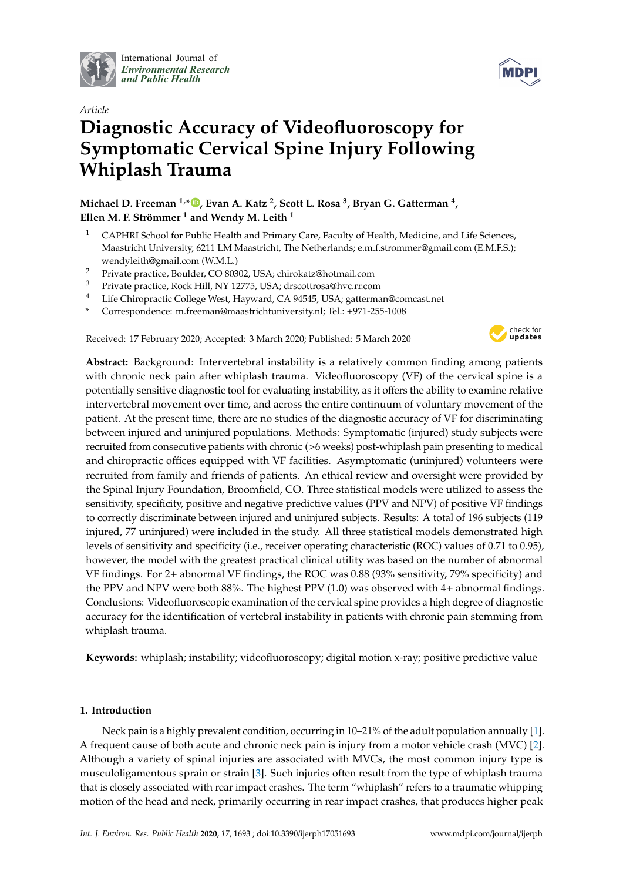

International Journal of *[Environmental Research](http://www.mdpi.com/journal/ijerph) and Public Health*



# *Article* **Diagnostic Accuracy of Videofluoroscopy for Symptomatic Cervical Spine Injury Following Whiplash Trauma**

**Michael D. Freeman 1,[\\*](https://orcid.org/0000-0003-0228-3158) , Evan A. Katz <sup>2</sup> , Scott L. Rosa <sup>3</sup> , Bryan G. Gatterman <sup>4</sup> , Ellen M. F. Strömmer <sup>1</sup> and Wendy M. Leith <sup>1</sup>**

- <sup>1</sup> CAPHRI School for Public Health and Primary Care, Faculty of Health, Medicine, and Life Sciences, Maastricht University, 6211 LM Maastricht, The Netherlands; e.m.f.strommer@gmail.com (E.M.F.S.); wendyleith@gmail.com (W.M.L.)
- <sup>2</sup> Private practice, Boulder, CO 80302, USA; chirokatz@hotmail.com
- <sup>3</sup> Private practice, Rock Hill, NY 12775, USA; drscottrosa@hvc.rr.com
- <sup>4</sup> Life Chiropractic College West, Hayward, CA 94545, USA; gatterman@comcast.net
- **\*** Correspondence: m.freeman@maastrichtuniversity.nl; Tel.: +971-255-1008

Received: 17 February 2020; Accepted: 3 March 2020; Published: 5 March 2020



**Abstract:** Background: Intervertebral instability is a relatively common finding among patients with chronic neck pain after whiplash trauma. Videofluoroscopy (VF) of the cervical spine is a potentially sensitive diagnostic tool for evaluating instability, as it offers the ability to examine relative intervertebral movement over time, and across the entire continuum of voluntary movement of the patient. At the present time, there are no studies of the diagnostic accuracy of VF for discriminating between injured and uninjured populations. Methods: Symptomatic (injured) study subjects were recruited from consecutive patients with chronic (>6 weeks) post-whiplash pain presenting to medical and chiropractic offices equipped with VF facilities. Asymptomatic (uninjured) volunteers were recruited from family and friends of patients. An ethical review and oversight were provided by the Spinal Injury Foundation, Broomfield, CO. Three statistical models were utilized to assess the sensitivity, specificity, positive and negative predictive values (PPV and NPV) of positive VF findings to correctly discriminate between injured and uninjured subjects. Results: A total of 196 subjects (119 injured, 77 uninjured) were included in the study. All three statistical models demonstrated high levels of sensitivity and specificity (i.e., receiver operating characteristic (ROC) values of 0.71 to 0.95), however, the model with the greatest practical clinical utility was based on the number of abnormal VF findings. For 2+ abnormal VF findings, the ROC was 0.88 (93% sensitivity, 79% specificity) and the PPV and NPV were both 88%. The highest PPV (1.0) was observed with 4+ abnormal findings. Conclusions: Videofluoroscopic examination of the cervical spine provides a high degree of diagnostic accuracy for the identification of vertebral instability in patients with chronic pain stemming from whiplash trauma.

**Keywords:** whiplash; instability; videofluoroscopy; digital motion x-ray; positive predictive value

# **1. Introduction**

Neck pain is a highly prevalent condition, occurring in 10–21% of the adult population annually [\[1\]](#page-10-0). A frequent cause of both acute and chronic neck pain is injury from a motor vehicle crash (MVC) [\[2\]](#page-10-1). Although a variety of spinal injuries are associated with MVCs, the most common injury type is musculoligamentous sprain or strain [\[3\]](#page-10-2). Such injuries often result from the type of whiplash trauma that is closely associated with rear impact crashes. The term "whiplash" refers to a traumatic whipping motion of the head and neck, primarily occurring in rear impact crashes, that produces higher peak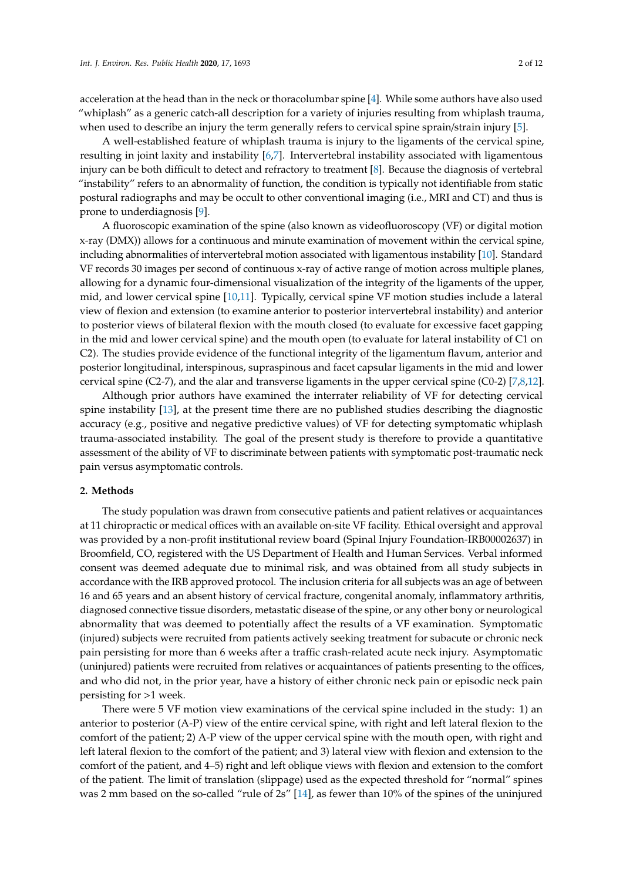acceleration at the head than in the neck or thoracolumbar spine [\[4\]](#page-10-3). While some authors have also used "whiplash" as a generic catch-all description for a variety of injuries resulting from whiplash trauma, when used to describe an injury the term generally refers to cervical spine sprain/strain injury [\[5\]](#page-10-4).

A well-established feature of whiplash trauma is injury to the ligaments of the cervical spine, resulting in joint laxity and instability [\[6,](#page-10-5)[7\]](#page-10-6). Intervertebral instability associated with ligamentous injury can be both difficult to detect and refractory to treatment [\[8\]](#page-10-7). Because the diagnosis of vertebral "instability" refers to an abnormality of function, the condition is typically not identifiable from static postural radiographs and may be occult to other conventional imaging (i.e., MRI and CT) and thus is prone to underdiagnosis [\[9\]](#page-10-8).

A fluoroscopic examination of the spine (also known as videofluoroscopy (VF) or digital motion x-ray (DMX)) allows for a continuous and minute examination of movement within the cervical spine, including abnormalities of intervertebral motion associated with ligamentous instability [\[10\]](#page-10-9). Standard VF records 30 images per second of continuous x-ray of active range of motion across multiple planes, allowing for a dynamic four-dimensional visualization of the integrity of the ligaments of the upper, mid, and lower cervical spine [\[10](#page-10-9)[,11\]](#page-10-10). Typically, cervical spine VF motion studies include a lateral view of flexion and extension (to examine anterior to posterior intervertebral instability) and anterior to posterior views of bilateral flexion with the mouth closed (to evaluate for excessive facet gapping in the mid and lower cervical spine) and the mouth open (to evaluate for lateral instability of C1 on C2). The studies provide evidence of the functional integrity of the ligamentum flavum, anterior and posterior longitudinal, interspinous, supraspinous and facet capsular ligaments in the mid and lower cervical spine (C2-7), and the alar and transverse ligaments in the upper cervical spine (C0-2) [\[7,](#page-10-6)[8,](#page-10-7)[12\]](#page-11-0).

Although prior authors have examined the interrater reliability of VF for detecting cervical spine instability [\[13\]](#page-11-1), at the present time there are no published studies describing the diagnostic accuracy (e.g., positive and negative predictive values) of VF for detecting symptomatic whiplash trauma-associated instability. The goal of the present study is therefore to provide a quantitative assessment of the ability of VF to discriminate between patients with symptomatic post-traumatic neck pain versus asymptomatic controls.

# **2. Methods**

The study population was drawn from consecutive patients and patient relatives or acquaintances at 11 chiropractic or medical offices with an available on-site VF facility. Ethical oversight and approval was provided by a non-profit institutional review board (Spinal Injury Foundation-IRB00002637) in Broomfield, CO, registered with the US Department of Health and Human Services. Verbal informed consent was deemed adequate due to minimal risk, and was obtained from all study subjects in accordance with the IRB approved protocol. The inclusion criteria for all subjects was an age of between 16 and 65 years and an absent history of cervical fracture, congenital anomaly, inflammatory arthritis, diagnosed connective tissue disorders, metastatic disease of the spine, or any other bony or neurological abnormality that was deemed to potentially affect the results of a VF examination. Symptomatic (injured) subjects were recruited from patients actively seeking treatment for subacute or chronic neck pain persisting for more than 6 weeks after a traffic crash-related acute neck injury. Asymptomatic (uninjured) patients were recruited from relatives or acquaintances of patients presenting to the offices, and who did not, in the prior year, have a history of either chronic neck pain or episodic neck pain persisting for >1 week.

There were 5 VF motion view examinations of the cervical spine included in the study: 1) an anterior to posterior (A-P) view of the entire cervical spine, with right and left lateral flexion to the comfort of the patient; 2) A-P view of the upper cervical spine with the mouth open, with right and left lateral flexion to the comfort of the patient; and 3) lateral view with flexion and extension to the comfort of the patient, and 4–5) right and left oblique views with flexion and extension to the comfort of the patient. The limit of translation (slippage) used as the expected threshold for "normal" spines was 2 mm based on the so-called "rule of 2s" [\[14\]](#page-11-2), as fewer than 10% of the spines of the uninjured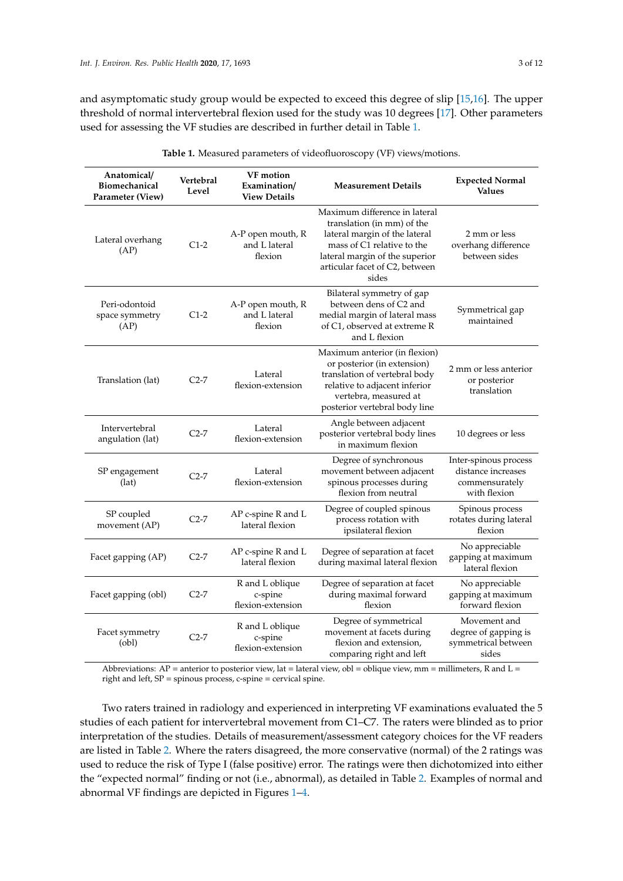and asymptomatic study group would be expected to exceed this degree of slip [\[15,](#page-11-3)[16\]](#page-11-4). The upper threshold of normal intervertebral flexion used for the study was 10 degrees [\[17\]](#page-11-5). Other parameters used for assessing the VF studies are described in further detail in Table [1.](#page-2-0)

<span id="page-2-0"></span>

| Anatomical/<br>Vertebral<br>Biomechanical<br>Level<br>Parameter (View) |        | <b>VF</b> motion<br>Examination/<br><b>Measurement Details</b><br><b>View Details</b> |                                                                                                                                                                                                         | <b>Expected Normal</b><br><b>Values</b>                                       |  |
|------------------------------------------------------------------------|--------|---------------------------------------------------------------------------------------|---------------------------------------------------------------------------------------------------------------------------------------------------------------------------------------------------------|-------------------------------------------------------------------------------|--|
| Lateral overhang<br>(AP)                                               | $C1-2$ | A-P open mouth, R<br>and L lateral<br>flexion                                         | Maximum difference in lateral<br>translation (in mm) of the<br>lateral margin of the lateral<br>mass of C1 relative to the<br>lateral margin of the superior<br>articular facet of C2, between<br>sides | 2 mm or less<br>overhang difference<br>between sides                          |  |
| Peri-odontoid<br>space symmetry<br>(AP)                                | $C1-2$ | A-P open mouth, R<br>and L lateral<br>flexion                                         | Bilateral symmetry of gap<br>between dens of C2 and<br>medial margin of lateral mass<br>of C1, observed at extreme R<br>and L flexion                                                                   | Symmetrical gap<br>maintained                                                 |  |
| Translation (lat)                                                      | $C2-7$ | Lateral<br>flexion-extension                                                          | Maximum anterior (in flexion)<br>or posterior (in extension)<br>translation of vertebral body<br>relative to adjacent inferior<br>vertebra, measured at<br>posterior vertebral body line                | 2 mm or less anterior<br>or posterior<br>translation                          |  |
| Intervertebral<br>angulation (lat)                                     | $C2-7$ | Lateral<br>flexion-extension                                                          | Angle between adjacent<br>posterior vertebral body lines<br>in maximum flexion                                                                                                                          | 10 degrees or less                                                            |  |
| SP engagement<br>(lat)                                                 | $C2-7$ | Lateral<br>flexion-extension                                                          | Degree of synchronous<br>movement between adjacent<br>spinous processes during<br>flexion from neutral                                                                                                  | Inter-spinous process<br>distance increases<br>commensurately<br>with flexion |  |
| SP coupled<br>movement (AP)                                            | $C2-7$ | AP c-spine R and L<br>lateral flexion                                                 | Degree of coupled spinous<br>process rotation with<br>ipsilateral flexion                                                                                                                               | Spinous process<br>rotates during lateral<br>flexion                          |  |
| Facet gapping (AP)                                                     | $C2-7$ | AP c-spine R and L<br>lateral flexion                                                 | Degree of separation at facet<br>during maximal lateral flexion                                                                                                                                         | No appreciable<br>gapping at maximum<br>lateral flexion                       |  |
| Facet gapping (obl)                                                    | $C2-7$ | R and L oblique<br>c-spine<br>flexion-extension                                       | Degree of separation at facet<br>during maximal forward<br>flexion                                                                                                                                      | No appreciable<br>gapping at maximum<br>forward flexion                       |  |
| Facet symmetry<br>(obl)                                                | $C2-7$ | R and L oblique<br>c-spine<br>flexion-extension                                       | Degree of symmetrical<br>movement at facets during<br>flexion and extension,<br>comparing right and left                                                                                                | Movement and<br>degree of gapping is<br>symmetrical between<br>sides          |  |

**Table 1.** Measured parameters of videofluoroscopy (VF) views/motions.

Abbreviations: AP = anterior to posterior view, lat = lateral view, obl = oblique view, mm = millimeters, R and L = right and left, SP = spinous process, c-spine = cervical spine.

Two raters trained in radiology and experienced in interpreting VF examinations evaluated the 5 studies of each patient for intervertebral movement from C1–C7. The raters were blinded as to prior interpretation of the studies. Details of measurement/assessment category choices for the VF readers are listed in Table [2.](#page-3-0) Where the raters disagreed, the more conservative (normal) of the 2 ratings was used to reduce the risk of Type I (false positive) error. The ratings were then dichotomized into either the "expected normal" finding or not (i.e., abnormal), as detailed in Table [2.](#page-3-0) Examples of normal and abnormal VF findings are depicted in Figures [1–](#page-3-1)[4.](#page-5-0)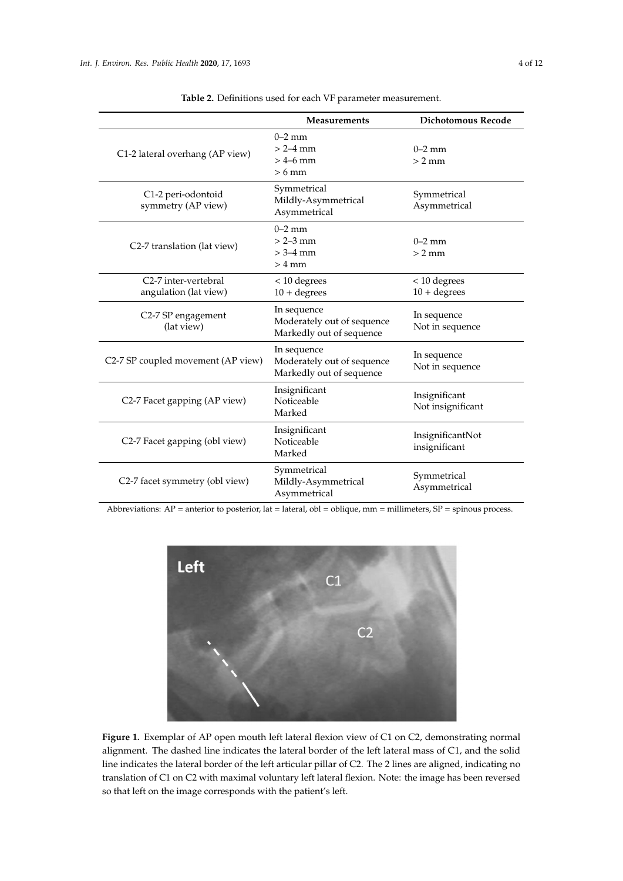<span id="page-3-0"></span>

|                                                            | Measurements                                                          | <b>Dichotomous Recode</b>          |
|------------------------------------------------------------|-----------------------------------------------------------------------|------------------------------------|
| C1-2 lateral overhang (AP view)                            | $0-2$ mm<br>$> 2 - 4$ mm<br>$>$ 4–6 mm<br>$>6$ mm                     | $0-2$ mm<br>$> 2$ mm               |
| C1-2 peri-odontoid<br>symmetry (AP view)                   | Symmetrical<br>Mildly-Asymmetrical<br>Asymmetrical                    | Symmetrical<br>Asymmetrical        |
| C2-7 translation (lat view)                                | $0-2$ mm<br>$> 2 - 3$ mm<br>$> 3 - 4$ mm<br>$>4$ mm                   | $0-2$ mm<br>$> 2$ mm               |
| C <sub>2</sub> -7 inter-vertebral<br>angulation (lat view) | < 10 degrees<br>$10 + degrees$                                        | $<$ 10 degrees<br>$10 + degrees$   |
| C2-7 SP engagement<br>(lat view)                           | In sequence<br>Moderately out of sequence<br>Markedly out of sequence | In sequence<br>Not in sequence     |
| C2-7 SP coupled movement (AP view)                         | In sequence<br>Moderately out of sequence<br>Markedly out of sequence | In sequence<br>Not in sequence     |
| C2-7 Facet gapping (AP view)                               | Insignificant<br>Noticeable<br>Marked                                 | Insignificant<br>Not insignificant |
| C2-7 Facet gapping (obl view)                              | Insignificant<br>Noticeable<br>Marked                                 | InsignificantNot<br>insignificant  |
| C2-7 facet symmetry (obl view)                             | Symmetrical<br>Mildly-Asymmetrical<br>Asymmetrical                    | Symmetrical<br>Asymmetrical        |

**Table 2.** Definitions used for each VF parameter measurement.

<span id="page-3-1"></span>Abbreviations: AP = anterior to posterior, lat = lateral, obl = oblique, mm = millimeters, SP = spinous process.



**Figure 1.** Exemplar of AP open mouth left lateral flexion view of C1 on C2, demonstrating normal **Figure 1.** Exemplar of AP open mouth left lateral flexion view of C1 on C2, demonstrating normal alignment. The dashed line indicates the lateral border of the left lateral mass of C1, and the solid line alignment. The dashed line indicates the lateral border of the left lateral mass of C1, and the solid line indicates the lateral border of the left articular pillar of C2. The 2 lines are aligned, indicating no translation of C1 on C2 with maximal voluntary left lateral flexion. Note: the image has been reversed translation of C1 on C2 with maximal voluntary left lateral flexion. Note: the image has been reversed so that left on the image corresponds with the patient's left.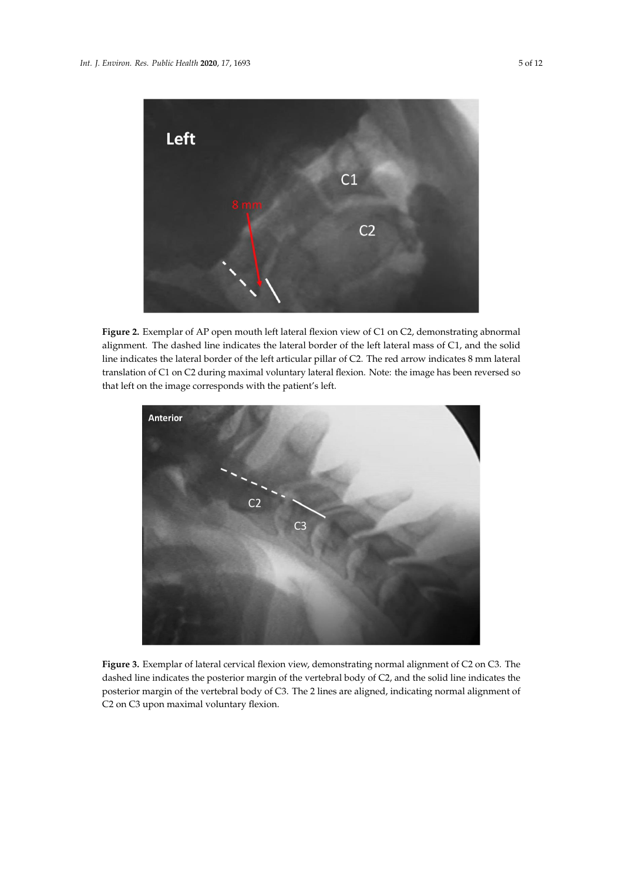

**Figure 2.** Exemplar of AP open mouth left lateral flexion view of C1 on C2, demonstrating abnormal **Figure 2.** Exemplar of AP open mouth left lateral flexion view of C1 on C2, demonstrating abnormal alignment. The dashed line indicates the lateral border of the left lateral mass of C1, and the solid line indicates the lateral border of the left articular pillar of C2. The red arrow indicates 8 mm lateral translation of C1 on C2 during maximal voluntary lateral flexion. Note: the image has been reversed so that left on the image corresponds with the patient's left.



**Figure 3.** Exemplar of lateral cervical flexion view, demonstrating normal alignment of C2 on C3. The **Figure 3.** Exemplar of lateral cervical flexion view, demonstrating normal alignment of C2 on C3. The dashed line indicates the posterior margin of the vertebral body of C2, and the solid line indicates the dashed line indicates the posterior margin of the vertebral body of C2, and the solid line indicates the posterior margin of the vertebral body of C3. The 2 lines are aligned, indicating normal alignment of posterior margin of the vertebral body of C3. The 2 lines are aligned, indicating normal alignment of C2 on C3 upon maximal voluntary flexion. C2 on C3 upon maximal voluntary flexion.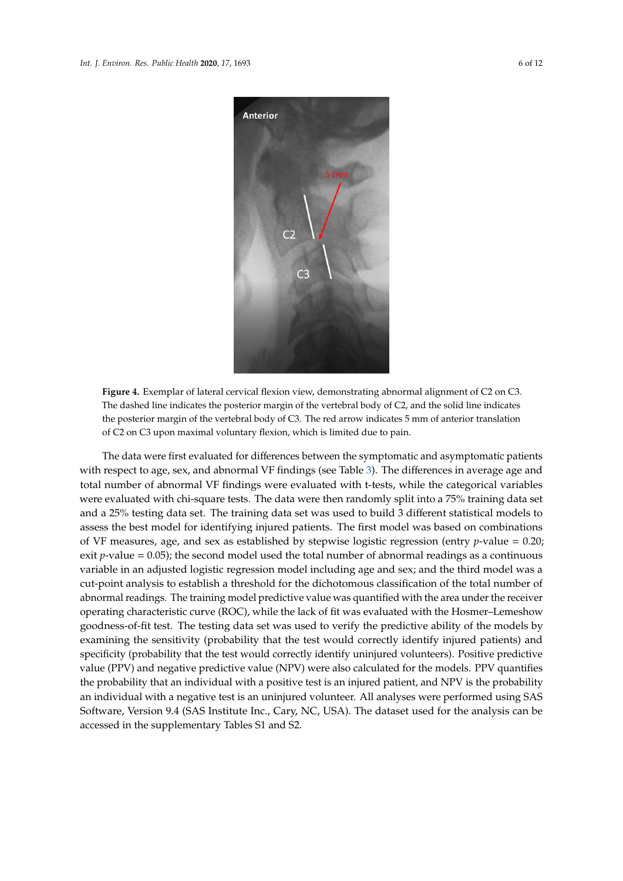<span id="page-5-0"></span>

**Figure 4.** Exemplar of lateral cervical flexion view, demonstrating abnormal alignment of C2 on C3. **Figure 4.** Exemplar of lateral cervical flexion view, demonstrating abnormal alignment of C2 on C3. The dashed line indicates the posterior margin of the vertebral body of C2, and the solid line indicates The dashed line indicates the posterior margin of the vertebral body of C2, and the solid line indicates the posterior margin of the vertebral body of C3. The red arrow indicates 5 mm of anterior translation the posterior margin of the vertebral body of C3. The red arrow indicates 5 mm of anterior translation of C2 on C3 upon maximal voluntary flexion, which is limited due to pain. of C2 on C3 upon maximal voluntary flexion, which is limited due to pain.

The data were first evaluated for differences between the symptomatic and asymptomatic The data were first evaluated for differences between the symptomatic and asymptomatic patients with respect to age, [se](#page-6-0)x, and abnormal VF findings (see Table 3). The differences in average age and total number of abnormal VF findings were evaluated with t-tests, while the categorical variables were evaluated with chi-square tests. The data were then randomly split into a 75% training data set and a 25% testing data set. The training data set was used to build 3 different statistical models to assess the best model for identifying injured patients. The first model was based on combinations of VF measures, age, and sex as established by stepwise logistic regression (entry *p*-value = 0.20; exit *p*-value = 0.05); the second model used the total number of abnormal readings as a continuous variable in an adjusted logistic regression model including age and sex; and the third model was a cut-point analysis to establish a threshold for the dichotomous classification of the total number of abnormal readings. The training model predictive value was quantified with the area under the receiver operating characteristic curve (ROC), while the lack of fit was evaluated with the Hosmer–Lemeshow goodness-of-fit test. The testing data set was used to verify the predictive ability of the models by examining the sensitivity (probability that the test would correctly identify injured patients) and specificity (probability that the test would correctly identify uninjured volunteers). Positive predictive value (PPV) and negative predictive value (NPV) were also calculated for the models. PPV quantifies the probability that an individual with a positive test is an injured patient, and NPV is the probability an individual with a negative test is an uninjured volunteer. All analyses were performed using SAS Software, Version 9.4 (SAS Institute Inc., Cary, NC, USA). The dataset used for the analysis can be accessed in the supplementary Tables S1 and S2.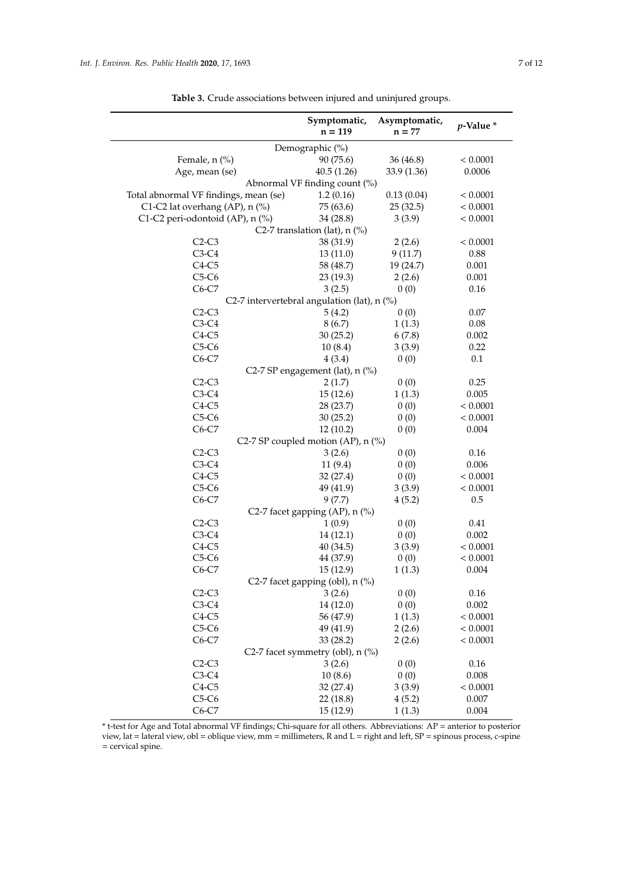<span id="page-6-0"></span>

|                                       | Symptomatic,<br>$n = 119$                   | Asymptomatic,<br>$n = 77$ | $p$ -Value $*$ |  |  |  |
|---------------------------------------|---------------------------------------------|---------------------------|----------------|--|--|--|
| Demographic (%)                       |                                             |                           |                |  |  |  |
| Female, n (%)                         | 90 (75.6)                                   | 36 (46.8)                 | < 0.0001       |  |  |  |
| Age, mean (se)                        | 40.5(1.26)                                  | 33.9 (1.36)               | 0.0006         |  |  |  |
|                                       | Abnormal VF finding count (%)               |                           |                |  |  |  |
| Total abnormal VF findings, mean (se) | 1.2(0.16)                                   | 0.13(0.04)                | < 0.0001       |  |  |  |
| C1-C2 lat overhang (AP), n (%)        | 75 (63.6)                                   | 25(32.5)                  | < 0.0001       |  |  |  |
| C1-C2 peri-odontoid (AP), n (%)       | 34(28.8)                                    | 3(3.9)                    | < 0.0001       |  |  |  |
|                                       | C2-7 translation (lat), $n$ (%)             |                           |                |  |  |  |
| $C2-C3$                               | 38 (31.9)                                   | 2(2.6)                    | < 0.0001       |  |  |  |
| $C3-C4$                               | 13(11.0)                                    | 9(11.7)                   | 0.88           |  |  |  |
| $C4-C5$                               | 58 (48.7)                                   | 19 (24.7)                 | 0.001          |  |  |  |
| $C5-C6$                               | 23(19.3)                                    | 2(2.6)                    | 0.001          |  |  |  |
| $C6-C7$                               | 3(2.5)                                      | 0(0)                      | 0.16           |  |  |  |
|                                       | C2-7 intervertebral angulation (lat), n (%) |                           |                |  |  |  |
| $C2-C3$                               | 5(4.2)                                      | 0(0)                      | 0.07           |  |  |  |
| $C3-C4$                               | 8(6.7)                                      | 1(1.3)                    | 0.08           |  |  |  |
| $C4-C5$                               | 30(25.2)                                    | 6(7.8)                    | 0.002          |  |  |  |
| $C5-C6$                               | 10(8.4)                                     | 3(3.9)                    | 0.22           |  |  |  |
| $C6-C7$                               | 4(3.4)                                      | 0(0)                      | 0.1            |  |  |  |
|                                       | C2-7 SP engagement (lat), n (%)             |                           |                |  |  |  |
| $C2-C3$                               | 2(1.7)                                      | 0(0)                      | 0.25           |  |  |  |
| $C3-C4$                               | 15(12.6)                                    | 1(1.3)                    | 0.005          |  |  |  |
| $C4-C5$                               | 28 (23.7)                                   | 0(0)                      | < 0.0001       |  |  |  |
| $C5-C6$                               | 30(25.2)                                    | 0(0)                      | < 0.0001       |  |  |  |
| $C6-C7$                               | 12(10.2)                                    | 0(0)                      | 0.004          |  |  |  |
|                                       | C2-7 SP coupled motion (AP), n (%)          |                           |                |  |  |  |
| $C2-C3$                               | 3(2.6)                                      | 0(0)                      | 0.16           |  |  |  |
| $C3-C4$                               | 11(9.4)                                     | 0(0)                      | 0.006          |  |  |  |
| $C4-C5$                               | 32 (27.4)                                   | 0(0)                      | < 0.0001       |  |  |  |
| $C5-C6$                               | 49 (41.9)                                   | 3(3.9)                    | < 0.0001       |  |  |  |
| $C6-C7$                               | 9(7.7)                                      | 4(5.2)                    | 0.5            |  |  |  |
|                                       | C2-7 facet gapping (AP), n (%)              |                           |                |  |  |  |
| $C2-C3$                               | 1(0.9)                                      | 0(0)                      | 0.41           |  |  |  |
| $C3-C4$                               | 14 (12.1)                                   | 0(0)                      | 0.002          |  |  |  |
| $C4-C5$                               | 40(34.5)                                    | 3(3.9)                    | < 0.0001       |  |  |  |
| $C5-C6$                               | 44 (37.9)                                   | 0(0)                      | < 0.0001       |  |  |  |
| $C6-C7$                               | 15(12.9)                                    | 1(1.3)                    | 0.004          |  |  |  |
|                                       | C2-7 facet gapping (obl), n (%)             |                           |                |  |  |  |
| $C2-C3$                               | 3(2.6)                                      | 0(0)                      | $0.16\,$       |  |  |  |
| $C3-C4$                               | 14 (12.0)                                   | 0(0)                      | 0.002          |  |  |  |
| $C4-C5$                               | 56 (47.9)                                   | 1(1.3)                    | < 0.0001       |  |  |  |
| $C5-C6$                               | 49 (41.9)                                   | 2(2.6)                    | < 0.0001       |  |  |  |
| $C6-C7$                               | 33 (28.2)                                   | 2(2.6)                    | < 0.0001       |  |  |  |
|                                       | C2-7 facet symmetry (obl), n (%)            |                           |                |  |  |  |
| $C2-C3$                               | 3(2.6)                                      | 0(0)                      | 0.16           |  |  |  |
| $C3-C4$                               | 10(8.6)                                     | 0(0)                      | 0.008          |  |  |  |
| $C4-C5$                               | 32 (27.4)                                   | 3(3.9)                    | < 0.0001       |  |  |  |
| $C5-C6$                               | 22(18.8)                                    | 4(5.2)                    | 0.007          |  |  |  |
| $C6-C7$                               | 15(12.9)                                    | 1(1.3)                    | 0.004          |  |  |  |

**Table 3.** Crude associations between injured and uninjured groups.

\* t-test for Age and Total abnormal VF findings; Chi-square for all others. Abbreviations: AP = anterior to posterior view, lat = lateral view, obl = oblique view, mm = millimeters, R and L = right and left, SP = spinous process, c-spine = cervical spine.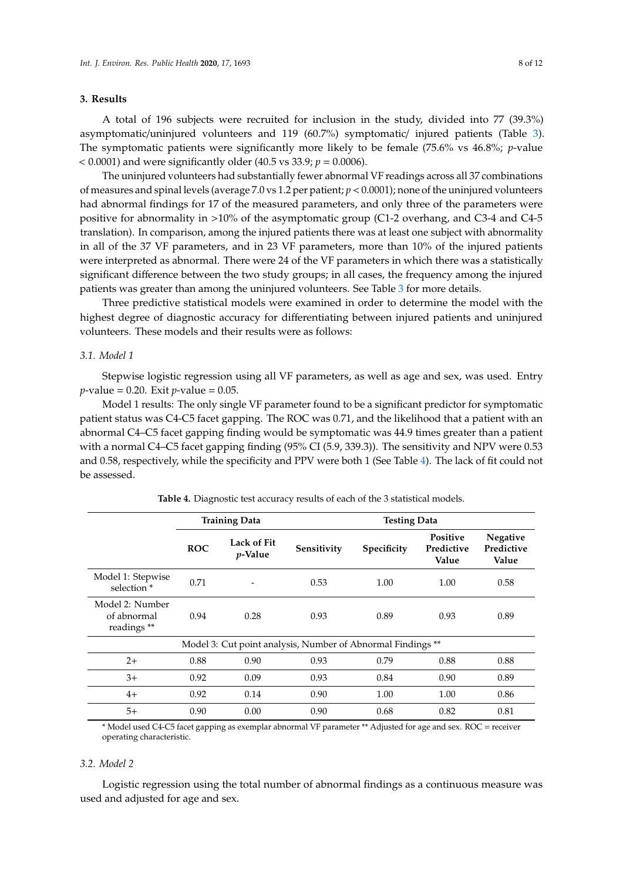# **3. Results**

A total of 196 subjects were recruited for inclusion in the study, divided into 77 (39.3%) asymptomatic/uninjured volunteers and 119 (60.7%) symptomatic/ injured patients (Table [3\)](#page-6-0). The symptomatic patients were significantly more likely to be female (75.6% vs 46.8%; *p*-value < 0.0001) and were significantly older (40.5 vs 33.9; *p* = 0.0006).

The uninjured volunteers had substantially fewer abnormal VF readings across all 37 combinations of measures and spinal levels (average 7.0 vs 1.2 per patient; *p* < 0.0001); none of the uninjured volunteers had abnormal findings for 17 of the measured parameters, and only three of the parameters were positive for abnormality in >10% of the asymptomatic group (C1-2 overhang, and C3-4 and C4-5 translation). In comparison, among the injured patients there was at least one subject with abnormality in all of the 37 VF parameters, and in 23 VF parameters, more than 10% of the injured patients were interpreted as abnormal. There were 24 of the VF parameters in which there was a statistically significant difference between the two study groups; in all cases, the frequency among the injured patients was greater than among the uninjured volunteers. See Table [3](#page-6-0) for more details.

Three predictive statistical models were examined in order to determine the model with the highest degree of diagnostic accuracy for differentiating between injured patients and uninjured volunteers. These models and their results were as follows:

## *3.1. Model 1*

Stepwise logistic regression using all VF parameters, as well as age and sex, was used. Entry *p*-value = 0.20. Exit *p*-value = 0.05.

Model 1 results: The only single VF parameter found to be a significant predictor for symptomatic patient status was C4-C5 facet gapping. The ROC was 0.71, and the likelihood that a patient with an abnormal C4–C5 facet gapping finding would be symptomatic was 44.9 times greater than a patient with a normal C4–C5 facet gapping finding (95% CI (5.9, 339.3)). The sensitivity and NPV were 0.53 and 0.58, respectively, while the specificity and PPV were both 1 (See Table [4\)](#page-7-0). The lack of fit could not be assessed.

<span id="page-7-0"></span>

|                                              | <b>Training Data</b>                                        |                                | <b>Testing Data</b> |                    |                                        |                                        |
|----------------------------------------------|-------------------------------------------------------------|--------------------------------|---------------------|--------------------|----------------------------------------|----------------------------------------|
|                                              | <b>ROC</b>                                                  | Lack of Fit<br><i>v</i> -Value | Sensitivity         | <b>Specificity</b> | <b>Positive</b><br>Predictive<br>Value | <b>Negative</b><br>Predictive<br>Value |
| Model 1: Stepwise<br>selection <sup>*</sup>  | 0.71                                                        |                                | 0.53                | 1.00               | 1.00                                   | 0.58                                   |
| Model 2: Number<br>of abnormal<br>readings** | 0.94                                                        | 0.28                           | 0.93                | 0.89               | 0.93                                   | 0.89                                   |
|                                              | Model 3: Cut point analysis, Number of Abnormal Findings ** |                                |                     |                    |                                        |                                        |
| $2+$                                         | 0.88                                                        | 0.90                           | 0.93                | 0.79               | 0.88                                   | 0.88                                   |
| $3+$                                         | 0.92                                                        | 0.09                           | 0.93                | 0.84               | 0.90                                   | 0.89                                   |
| $4+$                                         | 0.92                                                        | 0.14                           | 0.90                | 1.00               | 1.00                                   | 0.86                                   |
| $5+$                                         | 0.90                                                        | 0.00                           | 0.90                | 0.68               | 0.82                                   | 0.81                                   |

\* Model used C4-C5 facet gapping as exemplar abnormal VF parameter \*\* Adjusted for age and sex. ROC = receiver operating characteristic.

#### *3.2. Model 2*

Logistic regression using the total number of abnormal findings as a continuous measure was used and adjusted for age and sex.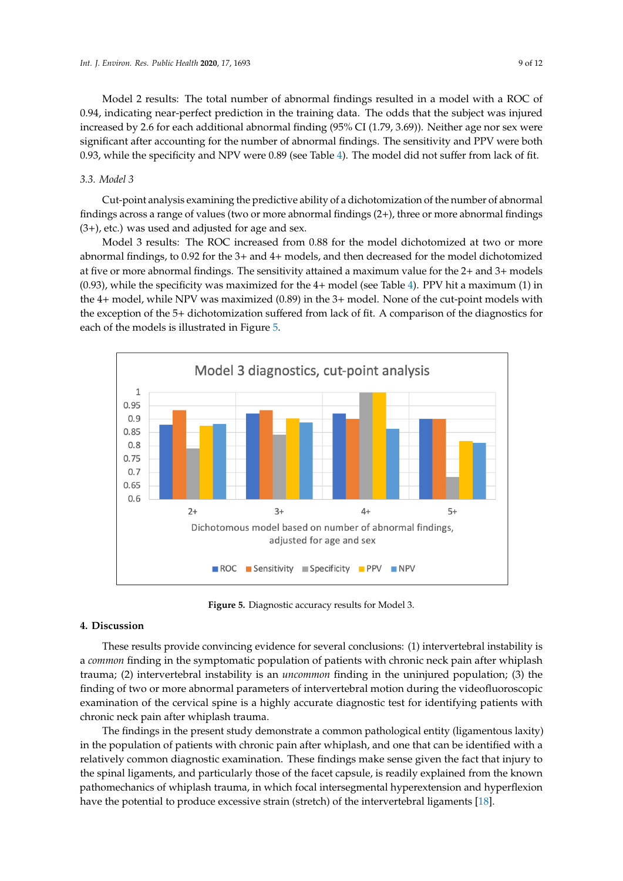Model 2 results: The total number of abnormal findings resulted in a model with a ROC of 0.94, indicating near-perfect prediction in the training data. The odds that the subject was injured increased by 2.6 for each additional abnormal finding (95% CI (1.79, 3.69)). Neither age nor sex were significant after accounting for the number of abnormal findings. The sensitivity and PPV were both 0.93, while the specificity and NPV were 0.89 (see Table [4\)](#page-7-0). The model did not suffer from lack of fit.

# *3.3. Model 3*

Cut-point analysis examining the predictive ability of a dichotomization of the number of abnormal findings across a range of values (two or more abnormal findings (2+), three or more abnormal findings  $(3+)$ , etc.) was used and adjusted for age and sex.

Model 3 results: The ROC increased from 0.88 for the model dichotomized at two or more abnormal findings, to 0.92 for the 3+ and 4+ models, and then decreased for the model dichotomized at five or more abnormal findings. The sensitivity attained a maximum value for the 2+ and 3+ models (0.93), while the specificity was maximized for the 4+ model (see Table [4\)](#page-7-0). PPV hit a maximum (1) in the 4+ model, while NPV was maximized (0.89) in the 3+ model. None of the cut-point models with the exception of the 5+ dichotomization suffered from lack of fit. A comparison of the diagnostics for each of the models is illustrated in Figure [5.](#page-8-0)

<span id="page-8-0"></span>

**Figure 5.** Diagnostic accuracy results for Model 3. **Figure 5.** Diagnostic accuracy results for Model 3.

# **4. Discussion 4. Discussion**

These results provide convincing evidence for several conclusions: 1) intervertebral instability These results provide convincing evidence for several conclusions: (1) intervertebral instability is is a *common* finding in the symptomatic population of patients with chronic neck pain after whiplash a *common* finding in the symptomatic population of patients with chronic neck pain after whiplash trauma; (2) intervertebral instability is an *uncommon* finding in the uninjured population; (3) the finding of two or more abnormal parameters of intervertebral motion during the videofluoroscopic examination of the cervical spine is a highly accurate diagnostic test for identifying patients with examination of the cervical spine is a highly accurate diagnostic test for identifying patients with chronic neck pain after whiplash trauma. chronic neck pain after whiplash trauma.

The findings in the present study demonstrate a common pathological entity (ligamentous The findings in the present study demonstrate a common pathological entity (ligamentous laxity) in the population of patients with chronic pain after whiplash, and one that can be identified with a relatively common diagnostic examination. These findings make sense given the fact that injury to the spinal ligaments, and particularly those of the facet capsule, is readily explained from the known pathomechanics of whiplash trauma, in which focal intersegmental hyperextension and hyperflexion have the potential to produce excessive strain (stretch) of the intervertebral ligaments [\[18\]](#page-11-6).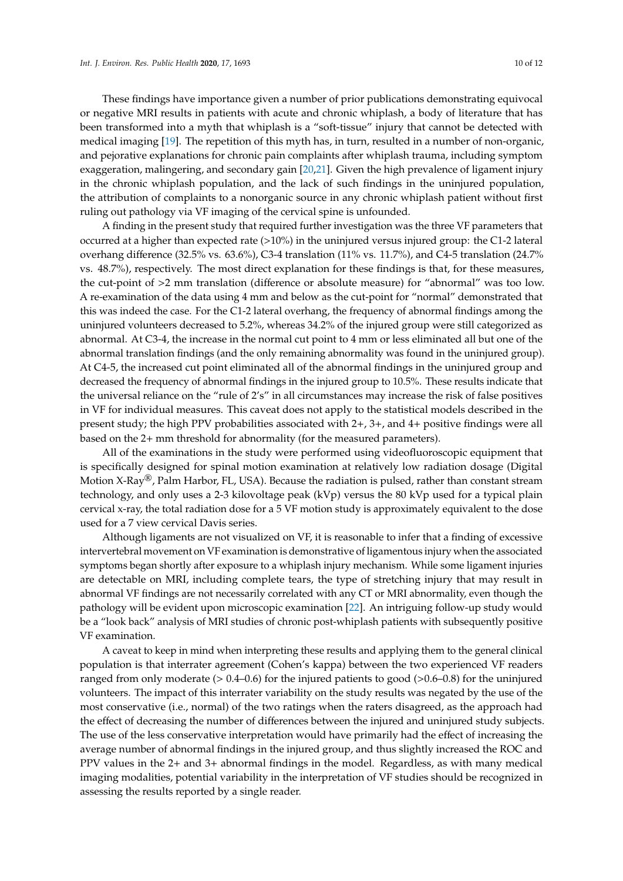These findings have importance given a number of prior publications demonstrating equivocal or negative MRI results in patients with acute and chronic whiplash, a body of literature that has been transformed into a myth that whiplash is a "soft-tissue" injury that cannot be detected with medical imaging [\[19\]](#page-11-7). The repetition of this myth has, in turn, resulted in a number of non-organic, and pejorative explanations for chronic pain complaints after whiplash trauma, including symptom exaggeration, malingering, and secondary gain [\[20,](#page-11-8)[21\]](#page-11-9). Given the high prevalence of ligament injury in the chronic whiplash population, and the lack of such findings in the uninjured population, the attribution of complaints to a nonorganic source in any chronic whiplash patient without first ruling out pathology via VF imaging of the cervical spine is unfounded.

A finding in the present study that required further investigation was the three VF parameters that occurred at a higher than expected rate (>10%) in the uninjured versus injured group: the C1-2 lateral overhang difference (32.5% vs. 63.6%), C3-4 translation (11% vs. 11.7%), and C4-5 translation (24.7% vs. 48.7%), respectively. The most direct explanation for these findings is that, for these measures, the cut-point of >2 mm translation (difference or absolute measure) for "abnormal" was too low. A re-examination of the data using 4 mm and below as the cut-point for "normal" demonstrated that this was indeed the case. For the C1-2 lateral overhang, the frequency of abnormal findings among the uninjured volunteers decreased to 5.2%, whereas 34.2% of the injured group were still categorized as abnormal. At C3-4, the increase in the normal cut point to 4 mm or less eliminated all but one of the abnormal translation findings (and the only remaining abnormality was found in the uninjured group). At C4-5, the increased cut point eliminated all of the abnormal findings in the uninjured group and decreased the frequency of abnormal findings in the injured group to 10.5%. These results indicate that the universal reliance on the "rule of 2's" in all circumstances may increase the risk of false positives in VF for individual measures. This caveat does not apply to the statistical models described in the present study; the high PPV probabilities associated with 2+, 3+, and 4+ positive findings were all based on the 2+ mm threshold for abnormality (for the measured parameters).

All of the examinations in the study were performed using videofluoroscopic equipment that is specifically designed for spinal motion examination at relatively low radiation dosage (Digital Motion X-Ray®, Palm Harbor, FL, USA). Because the radiation is pulsed, rather than constant stream technology, and only uses a 2-3 kilovoltage peak (kVp) versus the 80 kVp used for a typical plain cervical x-ray, the total radiation dose for a 5 VF motion study is approximately equivalent to the dose used for a 7 view cervical Davis series.

Although ligaments are not visualized on VF, it is reasonable to infer that a finding of excessive intervertebral movement on VF examination is demonstrative of ligamentous injury when the associated symptoms began shortly after exposure to a whiplash injury mechanism. While some ligament injuries are detectable on MRI, including complete tears, the type of stretching injury that may result in abnormal VF findings are not necessarily correlated with any CT or MRI abnormality, even though the pathology will be evident upon microscopic examination [\[22\]](#page-11-10). An intriguing follow-up study would be a "look back" analysis of MRI studies of chronic post-whiplash patients with subsequently positive VF examination.

A caveat to keep in mind when interpreting these results and applying them to the general clinical population is that interrater agreement (Cohen's kappa) between the two experienced VF readers ranged from only moderate (> 0.4–0.6) for the injured patients to good (>0.6–0.8) for the uninjured volunteers. The impact of this interrater variability on the study results was negated by the use of the most conservative (i.e., normal) of the two ratings when the raters disagreed, as the approach had the effect of decreasing the number of differences between the injured and uninjured study subjects. The use of the less conservative interpretation would have primarily had the effect of increasing the average number of abnormal findings in the injured group, and thus slightly increased the ROC and PPV values in the 2+ and 3+ abnormal findings in the model. Regardless, as with many medical imaging modalities, potential variability in the interpretation of VF studies should be recognized in assessing the results reported by a single reader.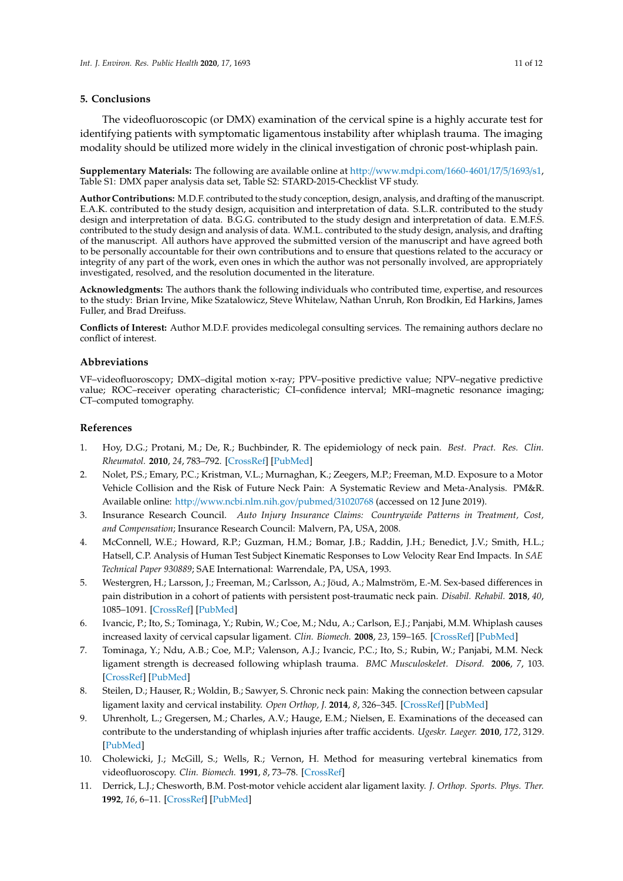#### **5. Conclusions**

The videofluoroscopic (or DMX) examination of the cervical spine is a highly accurate test for identifying patients with symptomatic ligamentous instability after whiplash trauma. The imaging modality should be utilized more widely in the clinical investigation of chronic post-whiplash pain.

**Supplementary Materials:** The following are available online at http://[www.mdpi.com](http://www.mdpi.com/1660-4601/17/5/1693 /s1)/1660-4601/17/5/1693/s1, Table S1: DMX paper analysis data set, Table S2: STARD-2015-Checklist VF study.

**Author Contributions:** M.D.F. contributed to the study conception, design, analysis, and drafting of the manuscript. E.A.K. contributed to the study design, acquisition and interpretation of data. S.L.R. contributed to the study design and interpretation of data. B.G.G. contributed to the study design and interpretation of data. E.M.F.S. contributed to the study design and analysis of data. W.M.L. contributed to the study design, analysis, and drafting of the manuscript. All authors have approved the submitted version of the manuscript and have agreed both to be personally accountable for their own contributions and to ensure that questions related to the accuracy or integrity of any part of the work, even ones in which the author was not personally involved, are appropriately investigated, resolved, and the resolution documented in the literature.

**Acknowledgments:** The authors thank the following individuals who contributed time, expertise, and resources to the study: Brian Irvine, Mike Szatalowicz, Steve Whitelaw, Nathan Unruh, Ron Brodkin, Ed Harkins, James Fuller, and Brad Dreifuss.

**Conflicts of Interest:** Author M.D.F. provides medicolegal consulting services. The remaining authors declare no conflict of interest.

# **Abbreviations**

VF–videofluoroscopy; DMX–digital motion x-ray; PPV–positive predictive value; NPV–negative predictive value; ROC–receiver operating characteristic; CI–confidence interval; MRI–magnetic resonance imaging; CT–computed tomography.

# **References**

- <span id="page-10-0"></span>1. Hoy, D.G.; Protani, M.; De, R.; Buchbinder, R. The epidemiology of neck pain. *Best. Pract. Res. Clin. Rheumatol.* **2010**, *24*, 783–792. [\[CrossRef\]](http://dx.doi.org/10.1016/j.berh.2011.01.019) [\[PubMed\]](http://www.ncbi.nlm.nih.gov/pubmed/21665126)
- <span id="page-10-1"></span>2. Nolet, P.S.; Emary, P.C.; Kristman, V.L.; Murnaghan, K.; Zeegers, M.P.; Freeman, M.D. Exposure to a Motor Vehicle Collision and the Risk of Future Neck Pain: A Systematic Review and Meta-Analysis. PM&R. Available online: http://[www.ncbi.nlm.nih.gov](http://www.ncbi.nlm.nih.gov/pubmed/31020768)/pubmed/31020768 (accessed on 12 June 2019).
- <span id="page-10-2"></span>3. Insurance Research Council. *Auto Injury Insurance Claims: Countrywide Patterns in Treatment, Cost, and Compensation*; Insurance Research Council: Malvern, PA, USA, 2008.
- <span id="page-10-3"></span>4. McConnell, W.E.; Howard, R.P.; Guzman, H.M.; Bomar, J.B.; Raddin, J.H.; Benedict, J.V.; Smith, H.L.; Hatsell, C.P. Analysis of Human Test Subject Kinematic Responses to Low Velocity Rear End Impacts. In *SAE Technical Paper 930889*; SAE International: Warrendale, PA, USA, 1993.
- <span id="page-10-4"></span>5. Westergren, H.; Larsson, J.; Freeman, M.; Carlsson, A.; Jöud, A.; Malmström, E.-M. Sex-based differences in pain distribution in a cohort of patients with persistent post-traumatic neck pain. *Disabil. Rehabil.* **2018**, *40*, 1085–1091. [\[CrossRef\]](http://dx.doi.org/10.1080/09638288.2017.1280543) [\[PubMed\]](http://www.ncbi.nlm.nih.gov/pubmed/28129693)
- <span id="page-10-5"></span>6. Ivancic, P.; Ito, S.; Tominaga, Y.; Rubin, W.; Coe, M.; Ndu, A.; Carlson, E.J.; Panjabi, M.M. Whiplash causes increased laxity of cervical capsular ligament. *Clin. Biomech.* **2008**, *23*, 159–165. [\[CrossRef\]](http://dx.doi.org/10.1016/j.clinbiomech.2007.09.003) [\[PubMed\]](http://www.ncbi.nlm.nih.gov/pubmed/17959284)
- <span id="page-10-6"></span>7. Tominaga, Y.; Ndu, A.B.; Coe, M.P.; Valenson, A.J.; Ivancic, P.C.; Ito, S.; Rubin, W.; Panjabi, M.M. Neck ligament strength is decreased following whiplash trauma. *BMC Musculoskelet. Disord.* **2006**, *7*, 103. [\[CrossRef\]](http://dx.doi.org/10.1186/1471-2474-7-103) [\[PubMed\]](http://www.ncbi.nlm.nih.gov/pubmed/17184536)
- <span id="page-10-7"></span>8. Steilen, D.; Hauser, R.; Woldin, B.; Sawyer, S. Chronic neck pain: Making the connection between capsular ligament laxity and cervical instability. *Open Orthop, J.* **2014**, *8*, 326–345. [\[CrossRef\]](http://dx.doi.org/10.2174/1874325001408010326) [\[PubMed\]](http://www.ncbi.nlm.nih.gov/pubmed/25328557)
- <span id="page-10-8"></span>9. Uhrenholt, L.; Gregersen, M.; Charles, A.V.; Hauge, E.M.; Nielsen, E. Examinations of the deceased can contribute to the understanding of whiplash injuries after traffic accidents. *Ugeskr. Laeger.* **2010**, *172*, 3129. [\[PubMed\]](http://www.ncbi.nlm.nih.gov/pubmed/21105209)
- <span id="page-10-9"></span>10. Cholewicki, J.; McGill, S.; Wells, R.; Vernon, H. Method for measuring vertebral kinematics from videofluoroscopy. *Clin. Biomech.* **1991**, *8*, 73–78. [\[CrossRef\]](http://dx.doi.org/10.1016/0268-0033(91)90002-8)
- <span id="page-10-10"></span>11. Derrick, L.J.; Chesworth, B.M. Post-motor vehicle accident alar ligament laxity. *J. Orthop. Sports. Phys. Ther.* **1992**, *16*, 6–11. [\[CrossRef\]](http://dx.doi.org/10.2519/jospt.1992.16.1.6) [\[PubMed\]](http://www.ncbi.nlm.nih.gov/pubmed/18796770)